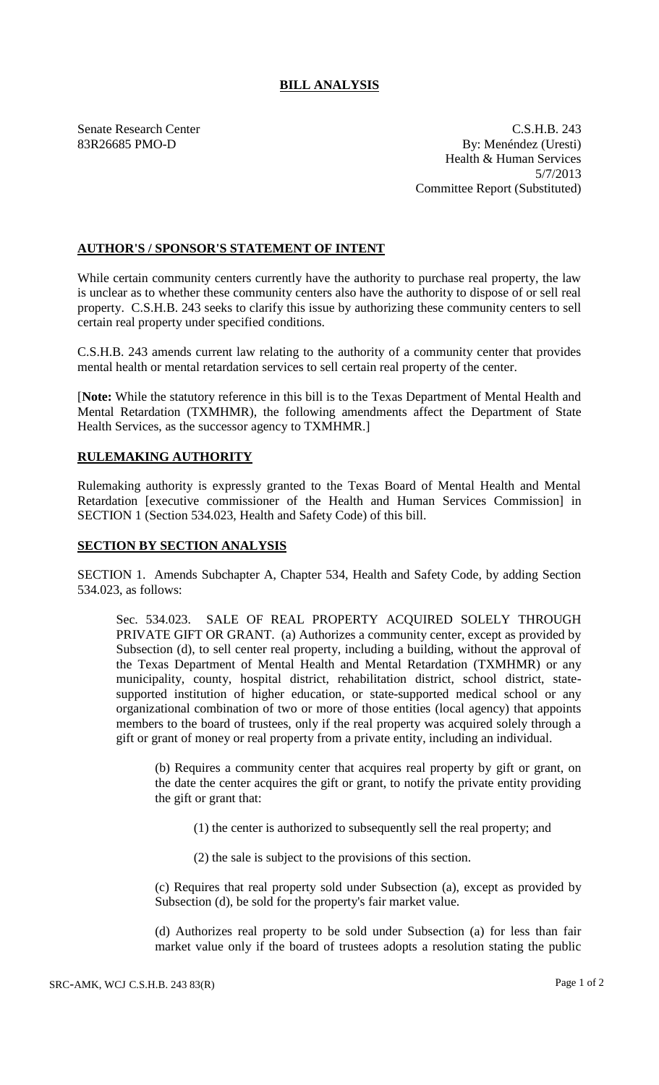## **BILL ANALYSIS**

Senate Research Center C.S.H.B. 243 83R26685 PMO-D By: Menéndez (Uresti) Health & Human Services 5/7/2013 Committee Report (Substituted)

## **AUTHOR'S / SPONSOR'S STATEMENT OF INTENT**

While certain community centers currently have the authority to purchase real property, the law is unclear as to whether these community centers also have the authority to dispose of or sell real property. C.S.H.B. 243 seeks to clarify this issue by authorizing these community centers to sell certain real property under specified conditions.

C.S.H.B. 243 amends current law relating to the authority of a community center that provides mental health or mental retardation services to sell certain real property of the center.

[**Note:** While the statutory reference in this bill is to the Texas Department of Mental Health and Mental Retardation (TXMHMR), the following amendments affect the Department of State Health Services, as the successor agency to TXMHMR.]

## **RULEMAKING AUTHORITY**

Rulemaking authority is expressly granted to the Texas Board of Mental Health and Mental Retardation [executive commissioner of the Health and Human Services Commission] in SECTION 1 (Section 534.023, Health and Safety Code) of this bill.

## **SECTION BY SECTION ANALYSIS**

SECTION 1. Amends Subchapter A, Chapter 534, Health and Safety Code, by adding Section 534.023, as follows:

Sec. 534.023. SALE OF REAL PROPERTY ACQUIRED SOLELY THROUGH PRIVATE GIFT OR GRANT. (a) Authorizes a community center, except as provided by Subsection (d), to sell center real property, including a building, without the approval of the Texas Department of Mental Health and Mental Retardation (TXMHMR) or any municipality, county, hospital district, rehabilitation district, school district, statesupported institution of higher education, or state-supported medical school or any organizational combination of two or more of those entities (local agency) that appoints members to the board of trustees, only if the real property was acquired solely through a gift or grant of money or real property from a private entity, including an individual.

(b) Requires a community center that acquires real property by gift or grant, on the date the center acquires the gift or grant, to notify the private entity providing the gift or grant that:

(1) the center is authorized to subsequently sell the real property; and

(2) the sale is subject to the provisions of this section.

(c) Requires that real property sold under Subsection (a), except as provided by Subsection (d), be sold for the property's fair market value.

(d) Authorizes real property to be sold under Subsection (a) for less than fair market value only if the board of trustees adopts a resolution stating the public